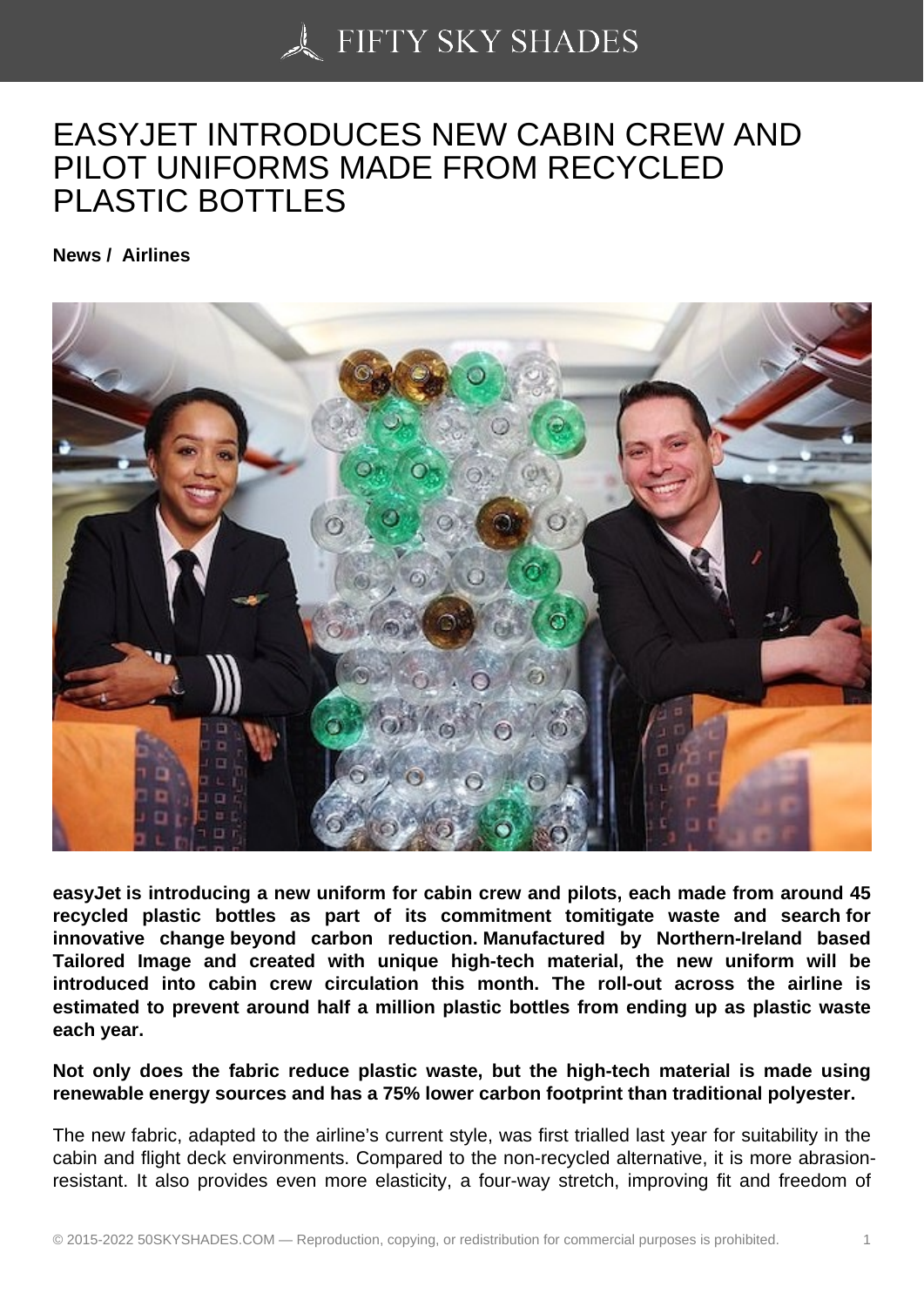## [EASYJET INTRODUC](https://50skyshades.com)ES NEW CABIN CREW AND PILOT UNIFORMS MADE FROM RECYCLED PLASTIC BOTTLES

News / Airlines

easyJet is introducing a new uniform for cabin crew and pilots, each made from around 45 recycled plastic bottles as part of its commitment tomitigate waste and search for innovative change beyond carbon reduction. Manufactured by Northern-Ireland based Tailored Image and created with unique high-tech material, the new uniform will be introduced into cabin crew circulation this month. The roll-out across the airline is estimated to prevent around half a million plastic bottles from ending up as plastic waste each year.

Not only does the fabric reduce plastic waste, but the high-tech material is made using renewable energy sources and has a 75% lower carbon footprint than traditional polyester.

The new fabric, adapted to the airline's current style, was first trialled last year for suitability in the cabin and flight deck environments. Compared to the non-recycled alternative, it is more abrasionresistant. It also provides even more elasticity, a four-way stretch, improving fit and freedom of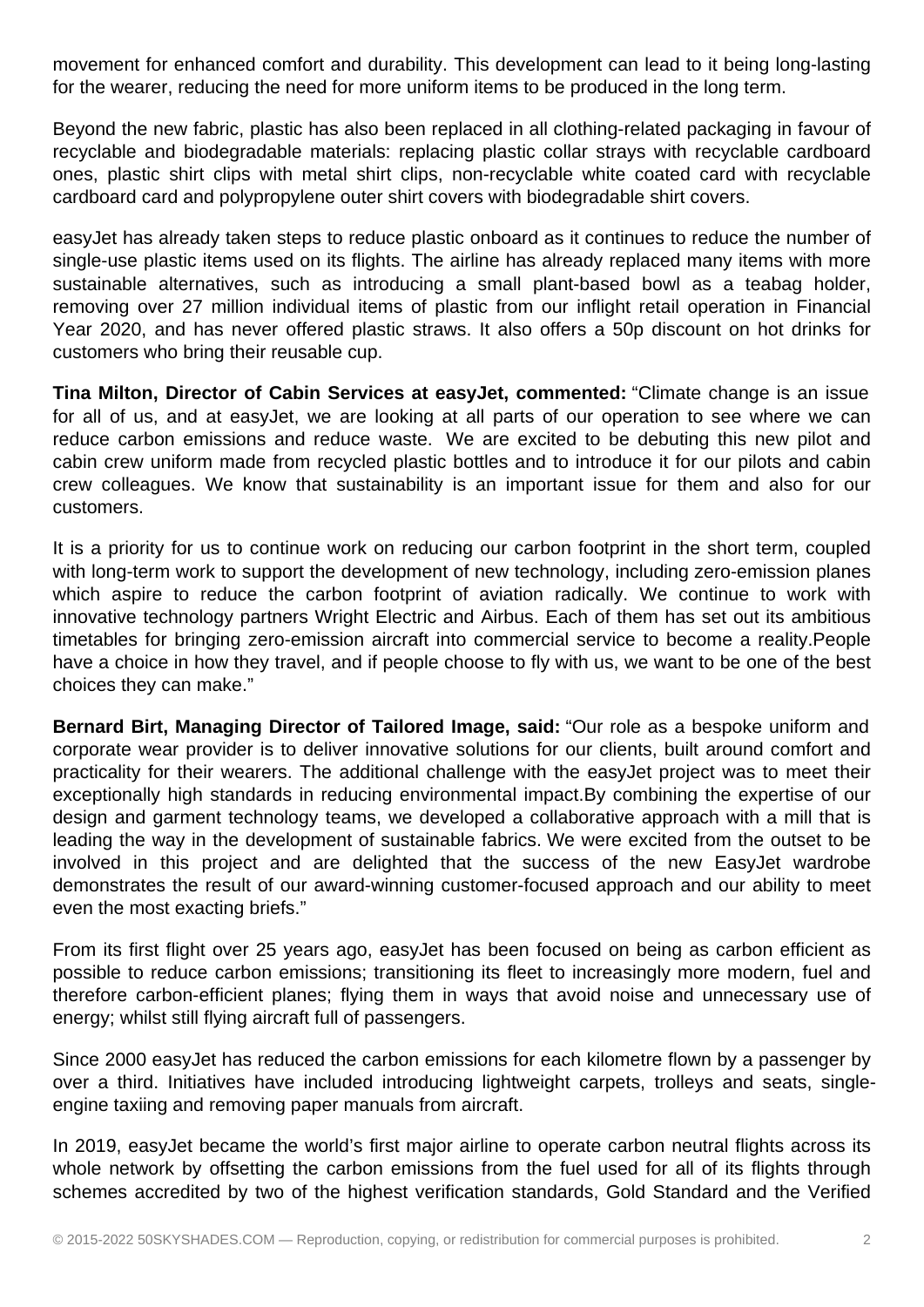movement for enhanced comfort and durability. This development can lead to it being long-lasting for the wearer, reducing the need for more uniform items to be produced in the long term.

Beyond the new fabric, plastic has also been replaced in all clothing-related packaging in favour of recyclable and biodegradable materials: replacing plastic collar strays with recyclable cardboard ones, plastic shirt clips with metal shirt clips, non-recyclable white coated card with recyclable cardboard card and polypropylene outer shirt covers with biodegradable shirt covers.

easyJet has already taken steps to reduce plastic onboard as it continues to reduce the number of single-use plastic items used on its flights. The airline has already replaced many items with more sustainable alternatives, such as introducing a small plant-based bowl as a teabag holder, removing over 27 million individual items of plastic from our inflight retail operation in Financial Year 2020, and has never offered plastic straws. It also offers a 50p discount on hot drinks for customers who bring their reusable cup.

**Tina Milton, Director of Cabin Services at easyJet, commented:** "Climate change is an issue for all of us, and at easyJet, we are looking at all parts of our operation to see where we can reduce carbon emissions and reduce waste. We are excited to be debuting this new pilot and cabin crew uniform made from recycled plastic bottles and to introduce it for our pilots and cabin crew colleagues. We know that sustainability is an important issue for them and also for our customers.

It is a priority for us to continue work on reducing our carbon footprint in the short term, coupled with long-term work to support the development of new technology, including zero-emission planes which aspire to reduce the carbon footprint of aviation radically. We continue to work with innovative technology partners Wright Electric and Airbus. Each of them has set out its ambitious timetables for bringing zero-emission aircraft into commercial service to become a reality.People have a choice in how they travel, and if people choose to fly with us, we want to be one of the best choices they can make."

**Bernard Birt, Managing Director of Tailored Image, said:** "Our role as a bespoke uniform and corporate wear provider is to deliver innovative solutions for our clients, built around comfort and practicality for their wearers. The additional challenge with the easyJet project was to meet their exceptionally high standards in reducing environmental impact.By combining the expertise of our design and garment technology teams, we developed a collaborative approach with a mill that is leading the way in the development of sustainable fabrics. We were excited from the outset to be involved in this project and are delighted that the success of the new EasyJet wardrobe demonstrates the result of our award-winning customer-focused approach and our ability to meet even the most exacting briefs."

From its first flight over 25 years ago, easyJet has been focused on being as carbon efficient as possible to reduce carbon emissions; transitioning its fleet to increasingly more modern, fuel and therefore carbon-efficient planes; flying them in ways that avoid noise and unnecessary use of energy; whilst still flying aircraft full of passengers.

Since 2000 easyJet has reduced the carbon emissions for each kilometre flown by a passenger by over a third. Initiatives have included introducing lightweight carpets, trolleys and seats, singleengine taxiing and removing paper manuals from aircraft.

In 2019, easyJet became the world's first major airline to operate carbon neutral flights across its whole network by offsetting the carbon emissions from the fuel used for all of its flights through schemes accredited by two of the highest verification standards, Gold Standard and the Verified